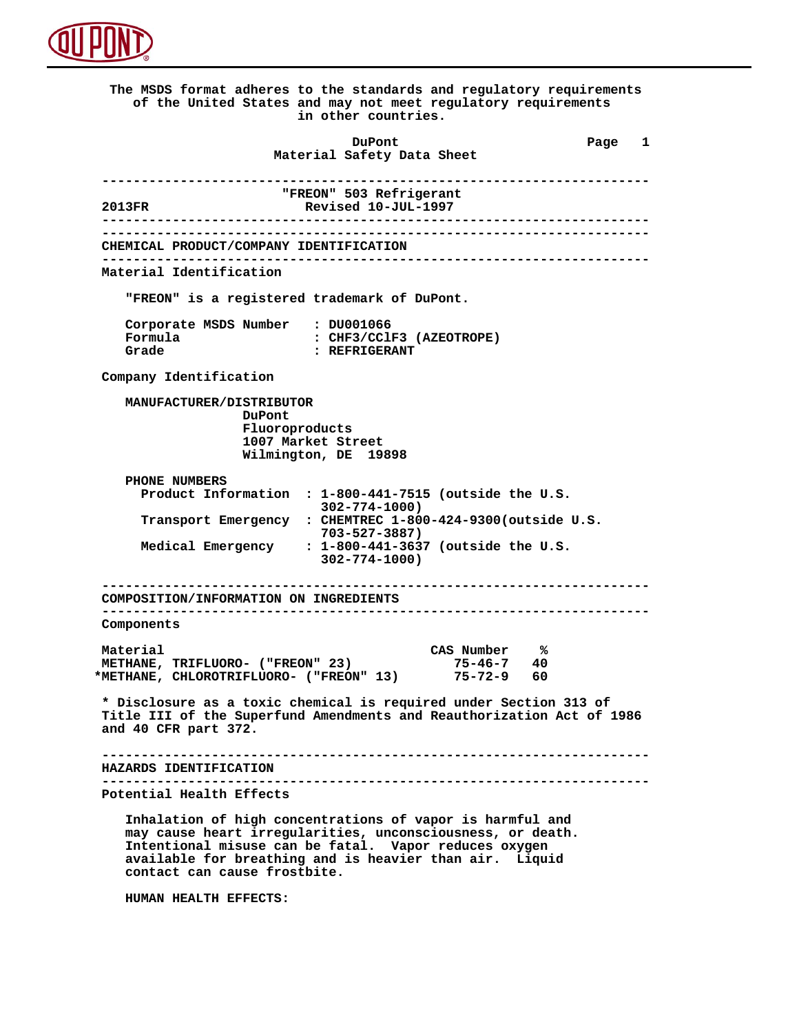

 **The MSDS format adheres to the standards and regulatory requirements of the United States and may not meet regulatory requirements in other countries. DuPont Different Page 1 Material Safety Data Sheet ---------------------------------------------------------------------- "FREON"** 503 Refrigerant<br> **Revised 10-JUL-1997 2013FR Revised 10-JUL-1997 ---------------------------------------------------------------------- ---------------------------------------------------------------------- CHEMICAL PRODUCT/COMPANY IDENTIFICATION ---------------------------------------------------------------------- Material Identification "FREON" is a registered trademark of DuPont. Corporate MSDS Number : DU001066**<br>**Formula** : CHF3/CCl  **Formula : CHF3/CClF3 (AZEOTROPE) Grade : REFRIGERANT Company Identification MANUFACTURER/DISTRIBUTOR DuPont Fluoroproducts 1007 Market Street Wilmington, DE 19898 PHONE NUMBERS Product Information : 1-800-441-7515 (outside the U.S. 302-774-1000) Transport Emergency : CHEMTREC 1-800-424-9300(outside U.S. 703-527-3887) Medical Emergency : 1-800-441-3637 (outside the U.S. 302-774-1000) ---------------------------------------------------------------------- COMPOSITION/INFORMATION ON INGREDIENTS ---------------------------------------------------------------------- Components Material CAS Number % METHANE, TRIFLUORO- ("FREON" 23) 75-46-7 40 \*METHANE, CHLOROTRIFLUORO- ("FREON" 13) 75-72-9 60 \* Disclosure as a toxic chemical is required under Section 313 of Title III of the Superfund Amendments and Reauthorization Act of 1986 and 40 CFR part 372. ---------------------------------------------------------------------- HAZARDS IDENTIFICATION ---------------------------------------------------------------------- Potential Health Effects Inhalation of high concentrations of vapor is harmful and may cause heart irregularities, unconsciousness, or death. Intentional misuse can be fatal. Vapor reduces oxygen available for breathing and is heavier than air. Liquid contact can cause frostbite.**

 **HUMAN HEALTH EFFECTS:**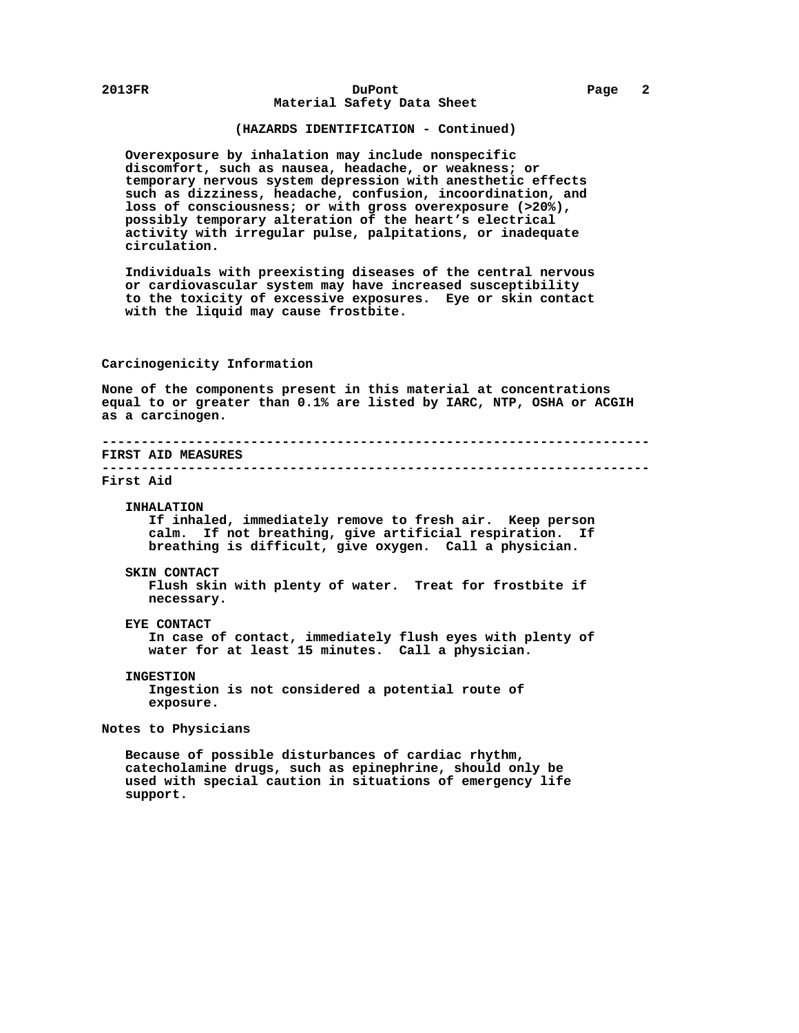## **(HAZARDS IDENTIFICATION - Continued)**

 **Overexposure by inhalation may include nonspecific discomfort, such as nausea, headache, or weakness; or temporary nervous system depression with anesthetic effects such as dizziness, headache, confusion, incoordination, and loss of consciousness; or with gross overexposure (>20%), possibly temporary alteration of the heart's electrical activity with irregular pulse, palpitations, or inadequate circulation.**

 **Individuals with preexisting diseases of the central nervous or cardiovascular system may have increased susceptibility to the toxicity of excessive exposures. Eye or skin contact with the liquid may cause frostbite.**

## **Carcinogenicity Information**

 **None of the components present in this material at concentrations equal to or greater than 0.1% are listed by IARC, NTP, OSHA or ACGIH as a carcinogen.**

## **---------------------------------------------------------------------- FIRST AID MEASURES ----------------------------------------------------------------------**

### **First Aid**

 **INHALATION If inhaled, immediately remove to fresh air. Keep person calm. If not breathing, give artificial respiration. If breathing is difficult, give oxygen. Call a physician.**

### **SKIN CONTACT**

 **Flush skin with plenty of water. Treat for frostbite if necessary.**

### **EYE CONTACT**

 **In case of contact, immediately flush eyes with plenty of water for at least 15 minutes. Call a physician.**

# **INGESTION**

 **Ingestion is not considered a potential route of exposure.**

# **Notes to Physicians**

 **Because of possible disturbances of cardiac rhythm, catecholamine drugs, such as epinephrine, should only be used with special caution in situations of emergency life support.**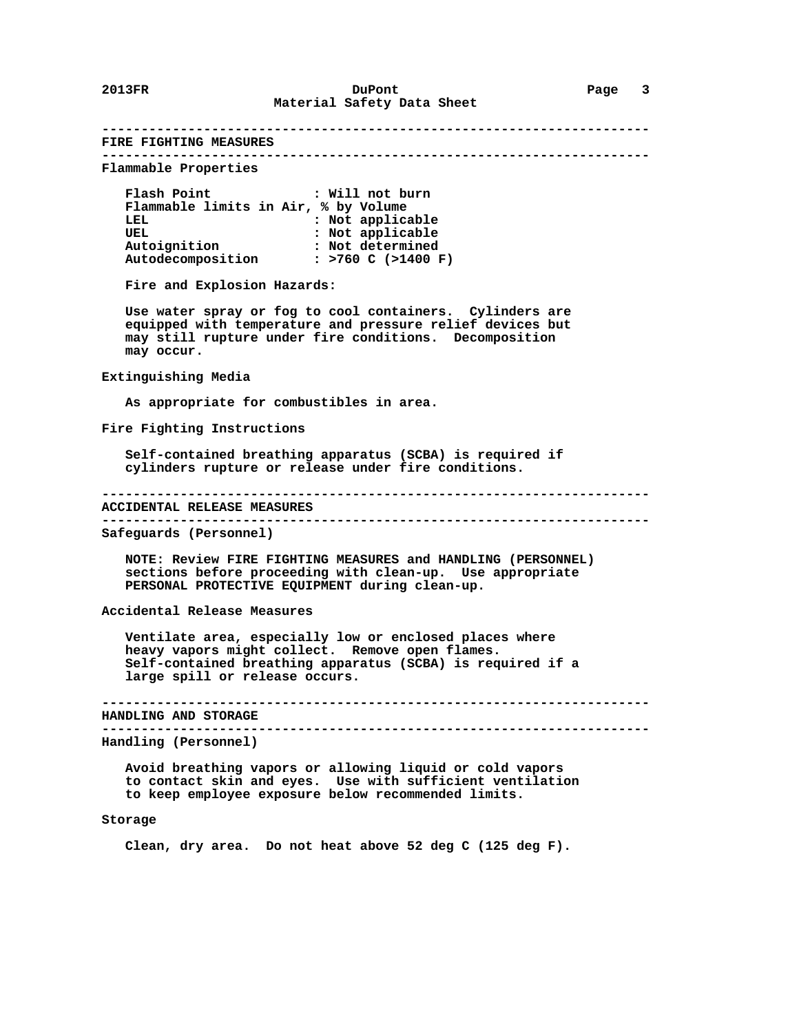**---------------------------------------------------------------------- FIRE FIGHTING MEASURES ---------------------------------------------------------------------- Flammable Properties Flash Point : Will not burn Flammable limits in Air, % by Volume :** Not applicable UEL **:** Not applicable  **Autoignition : Not determined Autodecomposition : >760 C (>1400 F) Fire and Explosion Hazards: Use water spray or fog to cool containers. Cylinders are equipped with temperature and pressure relief devices but may still rupture under fire conditions. Decomposition may occur. Extinguishing Media As appropriate for combustibles in area. Fire Fighting Instructions Self-contained breathing apparatus (SCBA) is required if cylinders rupture or release under fire conditions. ---------------------------------------------------------------------- ACCIDENTAL RELEASE MEASURES ---------------------------------------------------------------------- Safeguards (Personnel) NOTE: Review FIRE FIGHTING MEASURES and HANDLING (PERSONNEL) sections before proceeding with clean-up. Use appropriate PERSONAL PROTECTIVE EQUIPMENT during clean-up. Accidental Release Measures Ventilate area, especially low or enclosed places where heavy vapors might collect. Remove open flames. Self-contained breathing apparatus (SCBA) is required if a large spill or release occurs. ---------------------------------------------------------------------- HANDLING AND STORAGE ---------------------------------------------------------------------- Handling (Personnel) Avoid breathing vapors or allowing liquid or cold vapors to contact skin and eyes. Use with sufficient ventilation to keep employee exposure below recommended limits.**

### **Storage**

 **Clean, dry area. Do not heat above 52 deg C (125 deg F).**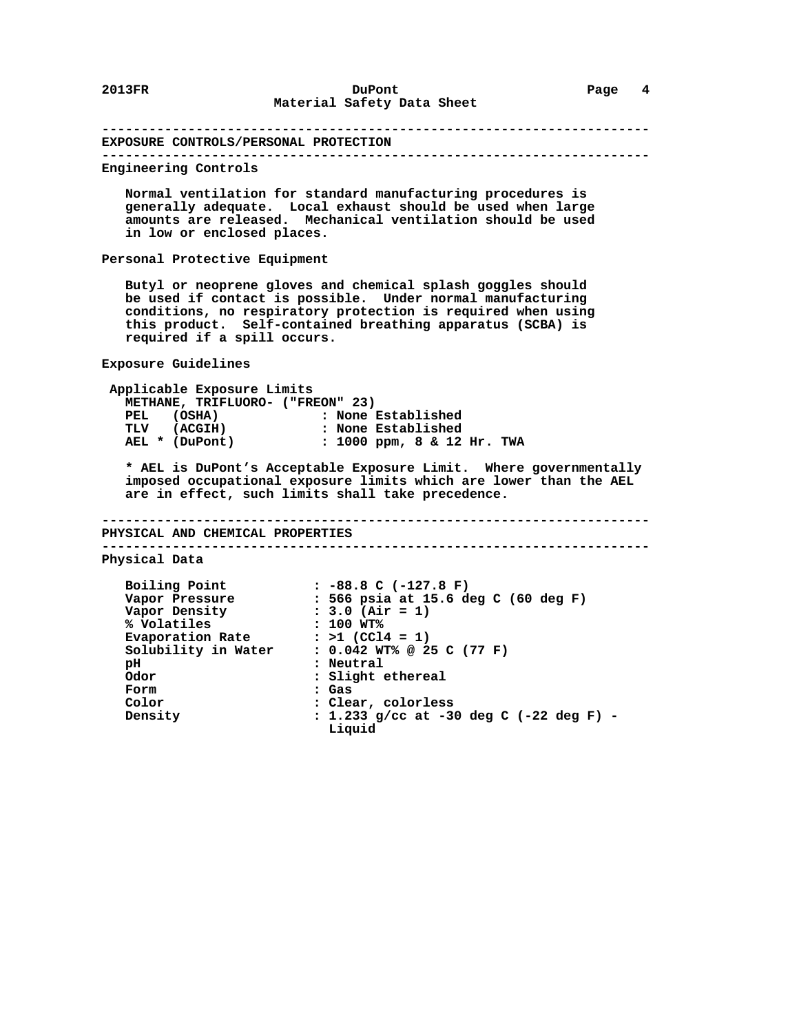**---------------------------------------------------------------------- EXPOSURE CONTROLS/PERSONAL PROTECTION ---------------------------------------------------------------------- Engineering Controls Normal ventilation for standard manufacturing procedures is generally adequate. Local exhaust should be used when large amounts are released. Mechanical ventilation should be used in low or enclosed places. Personal Protective Equipment Butyl or neoprene gloves and chemical splash goggles should be used if contact is possible. Under normal manufacturing conditions, no respiratory protection is required when using this product. Self-contained breathing apparatus (SCBA) is required if a spill occurs. Exposure Guidelines Applicable Exposure Limits METHANE, TRIFLUORO- ("FREON" 23) PEL (OSHA) : None Established TLV (ACGIH) : None Established AEL \* (DuPont) : 1000 ppm, 8 & 12 Hr. TWA \* AEL is DuPont's Acceptable Exposure Limit. Where governmentally imposed occupational exposure limits which are lower than the AEL are in effect, such limits shall take precedence. ---------------------------------------------------------------------- PHYSICAL AND CHEMICAL PROPERTIES ---------------------------------------------------------------------- Physical Data Boiling Point : -88.8 C (-127.8 F) Vapor Pressure : 566 psia at 15.6 deg C (60 deg F) Vapor Density : 3.0 (Air = 1) % Volatiles : 100 WT%** Evaporation Rate : >1 (CCl4 = 1)  **Solubility in Water : 0.042 WT% @ 25 C (77 F) pH : Neutral Odor : Slight ethereal Form : Gas Color** : Clear, colorless<br>Density : 1.233 g/cc at -30  **Density : 1.233 g/cc at -30 deg C (-22 deg F) - Liquid**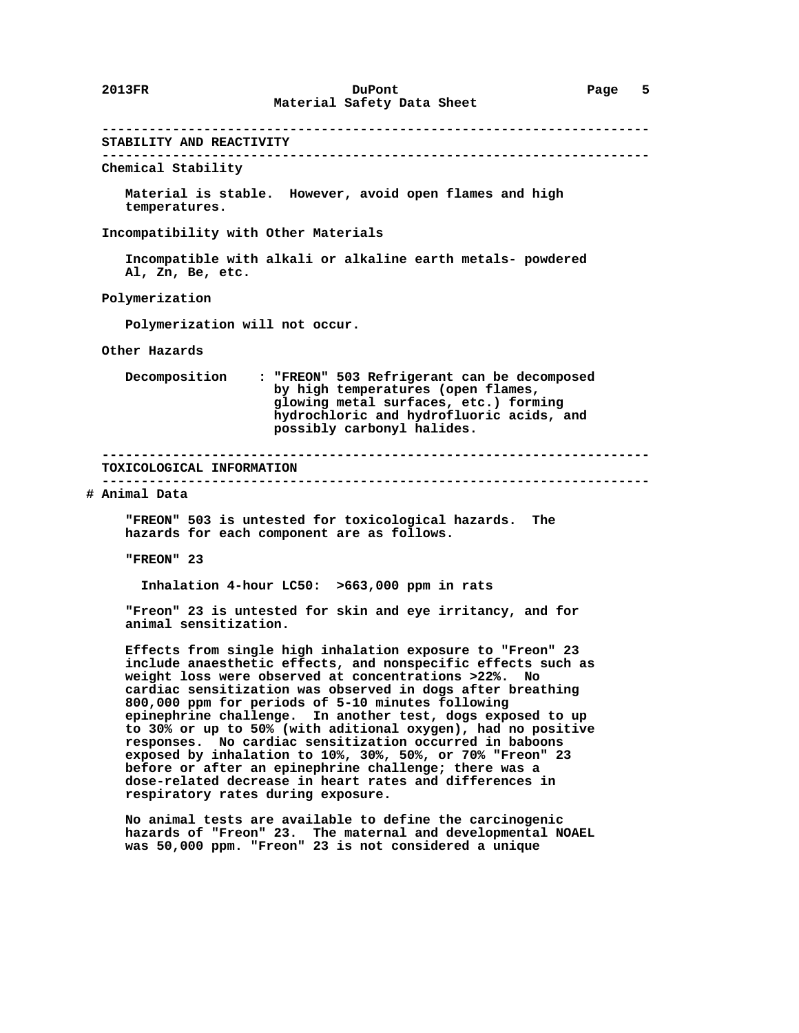**---------------------------------------------------------------------- STABILITY AND REACTIVITY ---------------------------------------------------------------------- Chemical Stability Material is stable. However, avoid open flames and high temperatures. Incompatibility with Other Materials Incompatible with alkali or alkaline earth metals- powdered Al, Zn, Be, etc. Polymerization Polymerization will not occur. Other Hazards Decomposition : "FREON" 503 Refrigerant can be decomposed by high temperatures (open flames, glowing metal surfaces, etc.) forming hydrochloric and hydrofluoric acids, and possibly carbonyl halides. ---------------------------------------------------------------------- TOXICOLOGICAL INFORMATION ---------------------------------------------------------------------- # Animal Data "FREON" 503 is untested for toxicological hazards. The hazards for each component are as follows. "FREON" 23 Inhalation 4-hour LC50: >663,000 ppm in rats "Freon" 23 is untested for skin and eye irritancy, and for animal sensitization. Effects from single high inhalation exposure to "Freon" 23 include anaesthetic effects, and nonspecific effects such as weight loss were observed at concentrations >22%. No cardiac sensitization was observed in dogs after breathing 800,000 ppm for periods of 5-10 minutes following epinephrine challenge. In another test, dogs exposed to up to 30% or up to 50% (with aditional oxygen), had no positive responses. No cardiac sensitization occurred in baboons exposed by inhalation to 10%, 30%, 50%, or 70% "Freon" 23 before or after an epinephrine challenge; there was a dose-related decrease in heart rates and differences in respiratory rates during exposure. No animal tests are available to define the carcinogenic hazards of "Freon" 23. The maternal and developmental NOAEL**

 **was 50,000 ppm. "Freon" 23 is not considered a unique**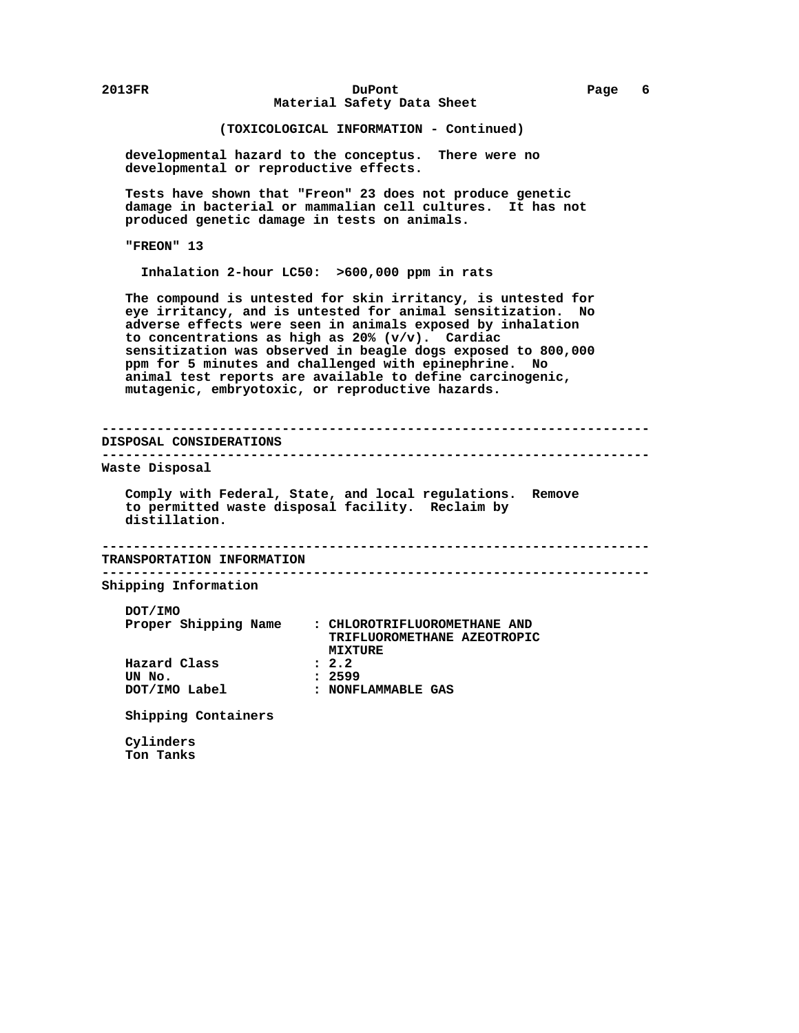## **2013FR DuPont Page 6 Material Safety Data Sheet**

## **(TOXICOLOGICAL INFORMATION - Continued)**

 **developmental hazard to the conceptus. There were no developmental or reproductive effects.**

 **Tests have shown that "Freon" 23 does not produce genetic damage in bacterial or mammalian cell cultures. It has not produced genetic damage in tests on animals.**

 **"FREON" 13**

 **Inhalation 2-hour LC50: >600,000 ppm in rats**

 **The compound is untested for skin irritancy, is untested for eye irritancy, and is untested for animal sensitization. No adverse effects were seen in animals exposed by inhalation to concentrations as high as 20% (v/v). Cardiac sensitization was observed in beagle dogs exposed to 800,000 ppm for 5 minutes and challenged with epinephrine. No animal test reports are available to define carcinogenic, mutagenic, embryotoxic, or reproductive hazards.**

 **---------------------------------------------------------------------- DISPOSAL CONSIDERATIONS ---------------------------------------------------------------------- Waste Disposal Comply with Federal, State, and local regulations. Remove to permitted waste disposal facility. Reclaim by distillation. ---------------------------------------------------------------------- TRANSPORTATION INFORMATION ---------------------------------------------------------------------- Shipping Information DOT/IMO Proper Shipping Name : CHLOROTRIFLUOROMETHANE AND TRIFLUOROMETHANE AZEOTROPIC MIXTURE Hazard Class : 2.2 UN No. : 2599 : NONFLAMMABLE GAS Shipping Containers**

 **Cylinders Ton Tanks**